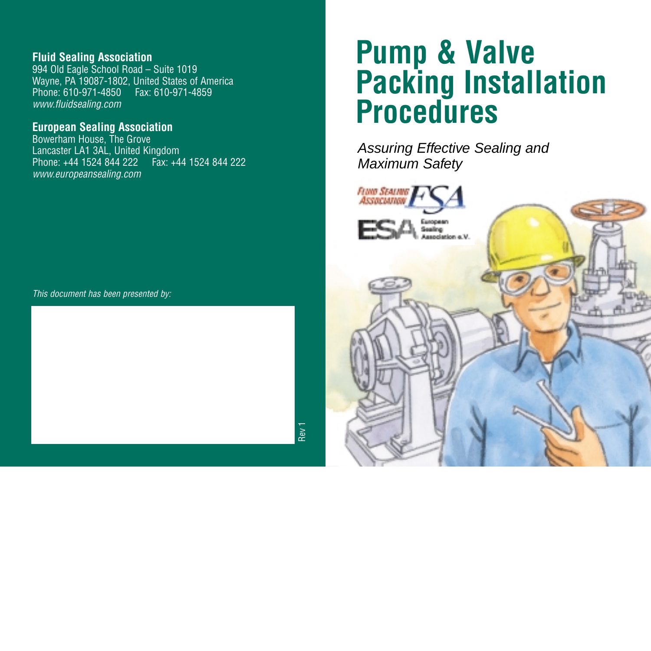### **Fluid Sealing Association**

994 Old Eagle School Road – Suite 1019 Wayne, PA 19087-1802, United States of America Phone: 610-971-4850 Fax: 610-971-4859 *www.fluidsealing.com*

### **European Sealing Association**

Bowerham House, The Grove Lancaster LA1 3AL, United Kingdom Phone: +44 1524 844 222 Fax: +44 1524 844 222 *www.europeansealing.com*

*This document has been presented by:*

## **Pump & Valve Packing Installation Procedures**

Assuring Effective Sealing and Maximum Safety



Pev<sup>-</sup>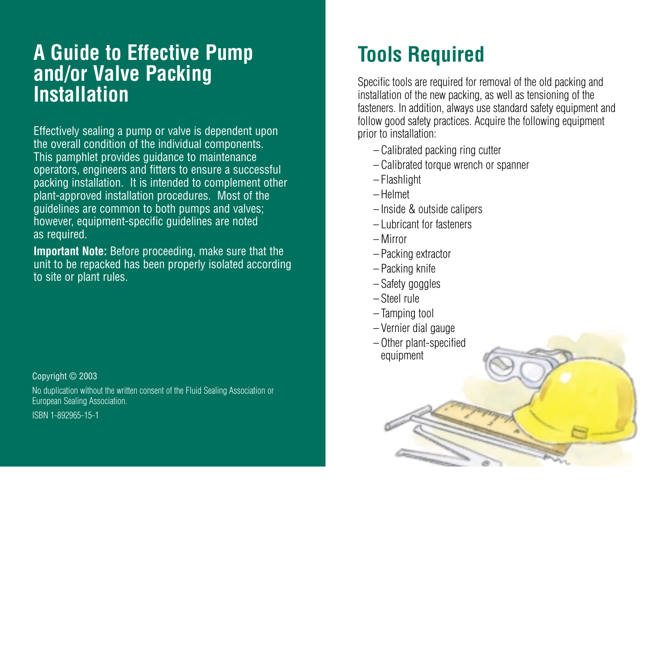## **A Guide to Effective Pump and/or Valve Packing Installation**

Effectively sealing a pump or valve is dependent upon the overall condition of the individual components. This pamphlet provides guidance to maintenance operators, engineers and fitters to ensure a successful packing installation. It is intended to complement other plant-approved installation procedures. Most of the guidelines are common to both pumps and valves; however, equipment-specific guidelines are noted as required.

**Important Note:** Before proceeding, make sure that the unit to be repacked has been properly isolated according to site or plant rules.

Copyright © 2003

No duplication without the written consent of the Fluid Sealing Association or European Sealing Association.

ISBN 1-892965-15-1

## **Tools Required**

Specific tools are required for removal of the old packing and installation of the new packing, as well as tensioning of the fasteners. In addition, always use standard safety equipment and follow good safety practices. Acquire the following equipment prior to installation:

- Calibrated packing ring cutter
- Calibrated torque wrench or spanner
- Flashlight
- Helmet
- Inside & outside calipers
- Lubricant for fasteners
- Mirror
- Packing extractor
- Packing knife
- Safety goggles
- Steel rule
- Tamping tool
- Vernier dial gauge
- Other plant-specified equipment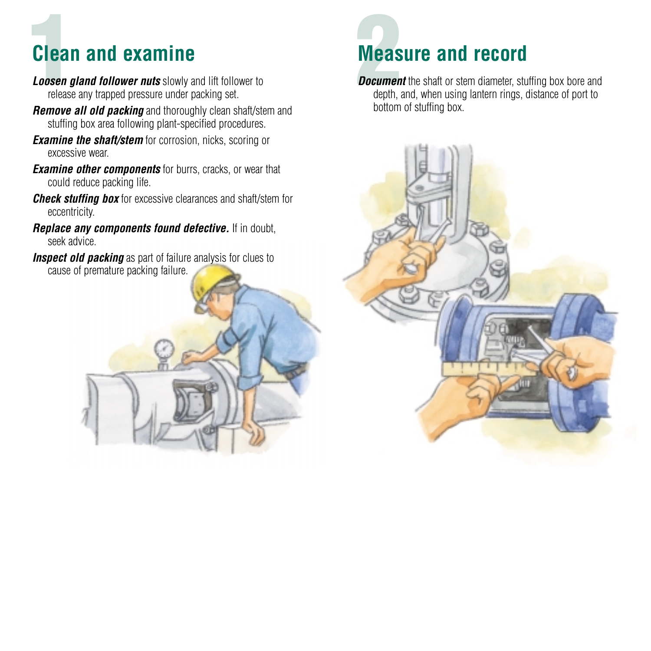## **Clean and examine**

- **Loosen gland follower nuts** slowly and lift follower to release any trapped pressure under packing set.
- *Remove all old packing* and thoroughly clean shaft/stem and stuffing box area following plant-specified procedures.
- *Examine the shaft/stem* for corrosion, nicks, scoring or excessive wear.
- *Examine other components* for burrs, cracks, or wear that could reduce packing life.
- *Check stuffing box* for excessive clearances and shaft/stem for eccentricity.
- *Replace any components found defective.* If in doubt, seek advice.
- **Inspect old packing** as part of failure analysis for clues to cause of premature packing failure.



depth, and, when using lantern rings, distance of port to bottom of stuffing box.

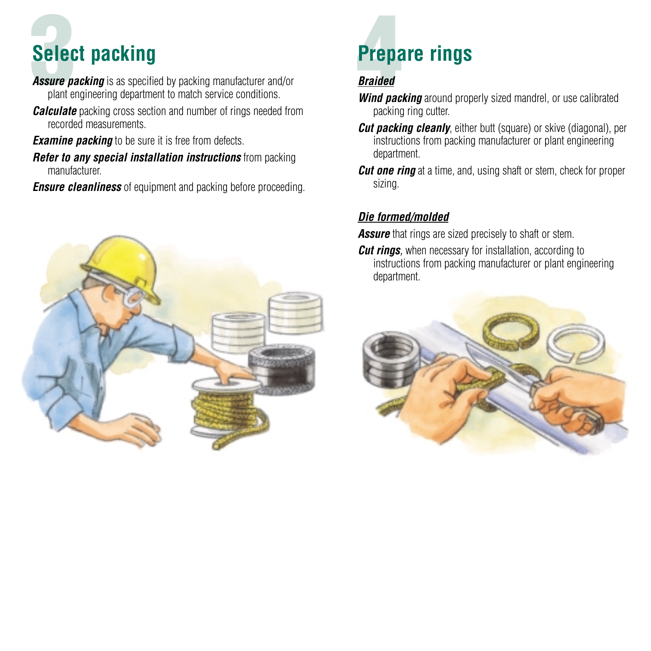# **3**<br> **3 Prepare rings**<br> **Assure packing** is as specified by packing manufacturer and/or *Braided* **Select packing**

**Assure packing** is as specified by packing manufacturer and/or plant engineering department to match service conditions.

*Calculate* packing cross section and number of rings needed from recorded measurements.

*Examine packing* to be sure it is free from defects.

*Refer to any special installation instructions* from packing manufacturer.

*Ensure cleanliness* of equipment and packing before proceeding.



- *Wind packing* around properly sized mandrel, or use calibrated packing ring cutter.
- *Cut packing cleanly*, either butt (square) or skive (diagonal), per instructions from packing manufacturer or plant engineering department.
- *Cut one ring* at a time, and, using shaft or stem, check for proper sizing.

## *Die formed/molded*

**Assure** that rings are sized precisely to shaft or stem.

*Cut rings,* when necessary for installation, according to instructions from packing manufacturer or plant engineering department.

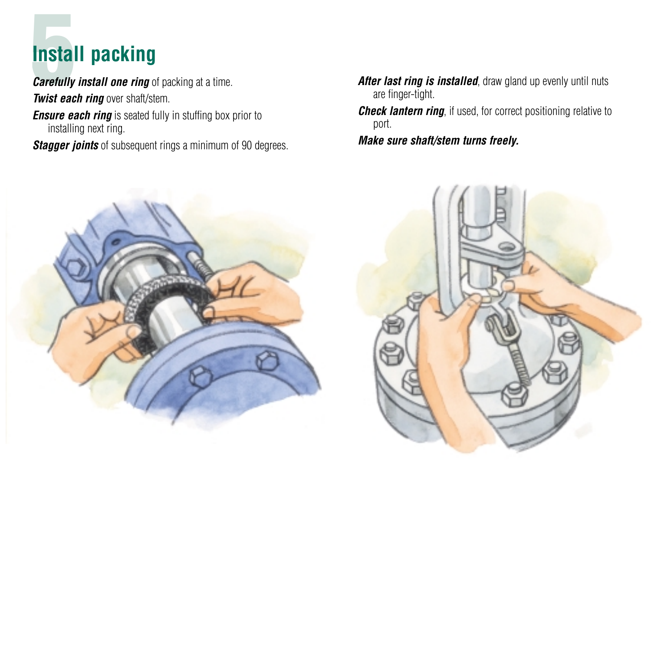# **Figure 1.5 EV 1.548 ID ACAL PACAL PACAL PACAL PACAL PROPERTY AFTER PARAGED AFTER** *After last ring is installed***, draw gland up evenly until nuts<br>
<b>4** *After last ring is installed*, draw gland up evenly until nuts **Install packing**

*Carefully install one ring* of packing at a time. *Twist each ring* over shaft/stem. *Ensure each ring* is seated fully in stuffing box prior to installing next ring.

*Stagger joints* of subsequent rings a minimum of 90 degrees.

- are finger-tight.
- *Check lantern ring,* if used, for correct positioning relative to port.
- *Make sure shaft/stem turns freely.*



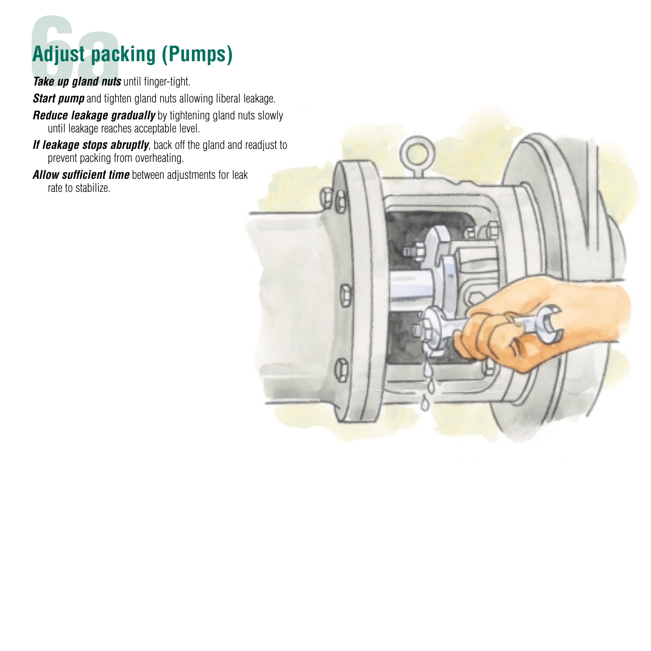# **6Adjust packing (Pumps)** Take up gland nuts until finger-tight.

*Start pump* and tighten gland nuts allowing liberal leakage.

- **Reduce leakage gradually** by tightening gland nuts slowly until leakage reaches acceptable level.
- *If leakage stops abruptly*, back off the gland and readjust to prevent packing from overheating.
- *Allow sufficient time* between adjustments for leak rate to stabilize.

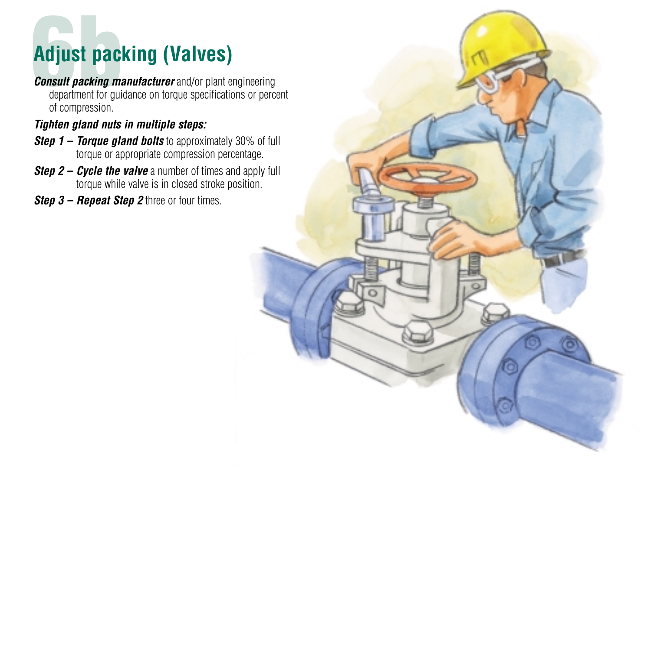# **6bbst packing (Valves)** *Consult packing manufacturer and/or plant engineering*

department for guidance on torque specifications or percent of compression.

### *Tighten gland nuts in multiple steps:*

- *Step 1 Torque gland bolts* to approximately 30% of full torque or appropriate compression percentage.
- *Step 2 Cycle the valve* a number of times and apply full torque while valve is in closed stroke position.
- *Step 3 Repeat Step 2* three or four times.